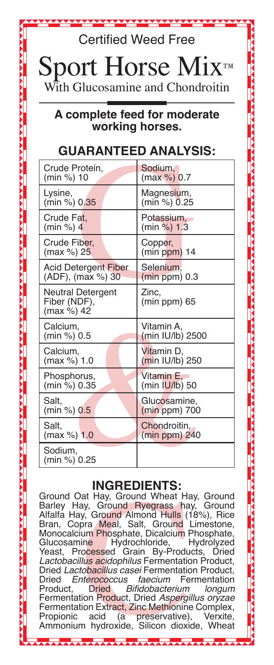Certified Weed Free

 $\operatorname{ort}$  Horse Mix ith Glucosamine and Chondroitin

## **A complete feed for moderate working horses.**

## **GUARANTEED ANALYSIS:**

| Crude Protein.                                         | Sodium.                 |
|--------------------------------------------------------|-------------------------|
| (min %) 10                                             | (max %) 0.7             |
| Lysine,                                                | Magnesium,              |
| (min %) 0.35                                           | (min %) 0.25            |
| Crude Fat.                                             | Potassium.              |
| (min %) 4                                              | (min %) 1.3             |
| Crude Fiber,                                           | Copper,                 |
| (max %) 25                                             | $(min ppm)$ 14          |
| Acid Detergent Fiber                                   | Selenium,               |
| (ADF), (max %) 30                                      | $(min ppm)$ 0.3         |
| <b>Neutral Detergent</b><br>Fiber (NDF),<br>(max %) 42 | Zinc.<br>$(min ppm)$ 65 |
| Calcium,                                               | Vitamin A,              |
| (min %) 0.5                                            | (min IU/lb) 2500        |
| Calcium,                                               | Vitamin D.              |
| (max %) 1.0                                            | (min IU/lb) 250         |
| Phosphorus,                                            | Vitamin E.              |
| (min %) 0.35                                           | (min IUI/b) 50          |
| Salt.                                                  | Glucosamine,            |
| (min %) 0.5                                            | $(min ppm)$ 700         |
| Salt.                                                  | Chondroitin,            |
| (max %) 1.0                                            | $(min ppm)$ 240         |
| Sodium,<br>(min %) 0.25                                |                         |
|                                                        |                         |

## **INGREDIENTS:**

Ground Oat Hay, Ground Wheat Hay, Ground Barley Hay, Ground Alysoneta, Salt, Ground Alfalfa Hay, Ground Almond Hulls (18%), Rice Bran, Copra Meal, Salt, Ground Limestone, Monoclacium Phosphate, Dicalcium Phosphate, Glucosa Barley Hay, Ground Ryegrass hay, Ground Alfalfa Hay, Ground Almond Hulls (18%), Rice Bran, Copra Meal, Salt, Ground Limestone, Monocalcium Phosphate, Dicalcium Phosphate,<br>Glucosamine Hydrochloride, Hydrolyzed Glucosamine Hydrochloride, Hydrolyzed<br>Yeast, Processed Grain By-Products, Dried Grain By-Products, *Lactobacillus acidophilus* Fermentation Product, Dried *Lactobacillus casei* Fermentation Product, Dried *Enterococcus faecium* Fermentation Bifidobacterium Fermentation Product, Dried Aspergillus oryzae Fermentation Extract, Zinc Methionine Complex,<br>Propionic acid (a preservative), Verxite, preservative), Verxite,<br>Silicon dioxide, Wheat Ammonium hydroxide,